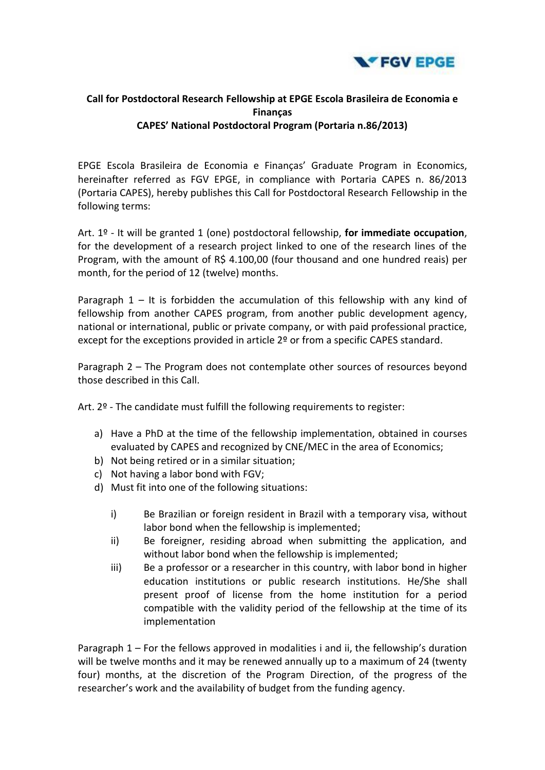

## **Call for Postdoctoral Research Fellowship at EPGE Escola Brasileira de Economia e Finanças CAPES' National Postdoctoral Program (Portaria n.86/2013)**

EPGE Escola Brasileira de Economia e Finanças' Graduate Program in Economics, hereinafter referred as FGV EPGE, in compliance with Portaria CAPES n. 86/2013 (Portaria CAPES), hereby publishes this Call for Postdoctoral Research Fellowship in the following terms:

Art. 1º - It will be granted 1 (one) postdoctoral fellowship, **for immediate occupation**, for the development of a research project linked to one of the research lines of the Program, with the amount of R\$ 4.100,00 (four thousand and one hundred reais) per month, for the period of 12 (twelve) months.

Paragraph  $1 -$  It is forbidden the accumulation of this fellowship with any kind of fellowship from another CAPES program, from another public development agency, national or international, public or private company, or with paid professional practice, except for the exceptions provided in article 2<sup>o</sup> or from a specific CAPES standard.

Paragraph 2 – The Program does not contemplate other sources of resources beyond those described in this Call.

Art. 2º - The candidate must fulfill the following requirements to register:

- a) Have a PhD at the time of the fellowship implementation, obtained in courses evaluated by CAPES and recognized by CNE/MEC in the area of Economics;
- b) Not being retired or in a similar situation;
- c) Not having a labor bond with FGV;
- d) Must fit into one of the following situations:
	- i) Be Brazilian or foreign resident in Brazil with a temporary visa, without labor bond when the fellowship is implemented;
	- ii) Be foreigner, residing abroad when submitting the application, and without labor bond when the fellowship is implemented;
	- iii) Be a professor or a researcher in this country, with labor bond in higher education institutions or public research institutions. He/She shall present proof of license from the home institution for a period compatible with the validity period of the fellowship at the time of its implementation

Paragraph 1 – For the fellows approved in modalities i and ii, the fellowship's duration will be twelve months and it may be renewed annually up to a maximum of 24 (twenty four) months, at the discretion of the Program Direction, of the progress of the researcher's work and the availability of budget from the funding agency.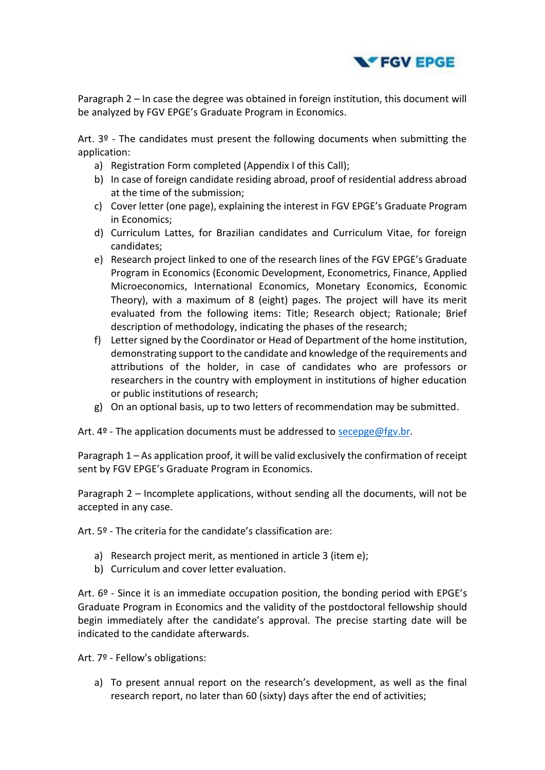

Paragraph 2 – In case the degree was obtained in foreign institution, this document will be analyzed by FGV EPGE's Graduate Program in Economics.

Art.  $3<sup>°</sup>$  - The candidates must present the following documents when submitting the application:

- a) Registration Form completed (Appendix I of this Call);
- b) In case of foreign candidate residing abroad, proof of residential address abroad at the time of the submission;
- c) Cover letter (one page), explaining the interest in FGV EPGE's Graduate Program in Economics;
- d) Curriculum Lattes, for Brazilian candidates and Curriculum Vitae, for foreign candidates;
- e) Research project linked to one of the research lines of the FGV EPGE's Graduate Program in Economics (Economic Development, Econometrics, Finance, Applied Microeconomics, International Economics, Monetary Economics, Economic Theory), with a maximum of 8 (eight) pages. The project will have its merit evaluated from the following items: Title; Research object; Rationale; Brief description of methodology, indicating the phases of the research;
- f) Letter signed by the Coordinator or Head of Department of the home institution, demonstrating support to the candidate and knowledge of the requirements and attributions of the holder, in case of candidates who are professors or researchers in the country with employment in institutions of higher education or public institutions of research;
- g) On an optional basis, up to two letters of recommendation may be submitted.

Art.  $4^{\circ}$  - The application documents must be addressed to [secepge@fgv.br.](mailto:secepge@fgv.br)

Paragraph 1 – As application proof, it will be valid exclusively the confirmation of receipt sent by FGV EPGE's Graduate Program in Economics.

Paragraph 2 – Incomplete applications, without sending all the documents, will not be accepted in any case.

Art. 5º - The criteria for the candidate's classification are:

- a) Research project merit, as mentioned in article 3 (item e);
- b) Curriculum and cover letter evaluation.

Art. 6º - Since it is an immediate occupation position, the bonding period with EPGE's Graduate Program in Economics and the validity of the postdoctoral fellowship should begin immediately after the candidate's approval. The precise starting date will be indicated to the candidate afterwards.

Art. 7º - Fellow's obligations:

a) To present annual report on the research's development, as well as the final research report, no later than 60 (sixty) days after the end of activities;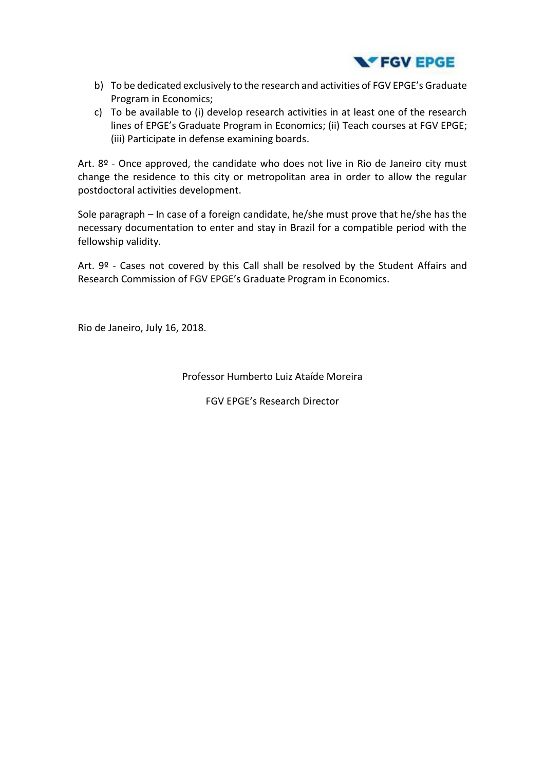

- b) To be dedicated exclusively to the research and activities of FGV EPGE's Graduate Program in Economics;
- c) To be available to (i) develop research activities in at least one of the research lines of EPGE's Graduate Program in Economics; (ii) Teach courses at FGV EPGE; (iii) Participate in defense examining boards.

Art. 8º - Once approved, the candidate who does not live in Rio de Janeiro city must change the residence to this city or metropolitan area in order to allow the regular postdoctoral activities development.

Sole paragraph – In case of a foreign candidate, he/she must prove that he/she has the necessary documentation to enter and stay in Brazil for a compatible period with the fellowship validity.

Art. 9º - Cases not covered by this Call shall be resolved by the Student Affairs and Research Commission of FGV EPGE's Graduate Program in Economics.

Rio de Janeiro, July 16, 2018.

Professor Humberto Luiz Ataíde Moreira

FGV EPGE's Research Director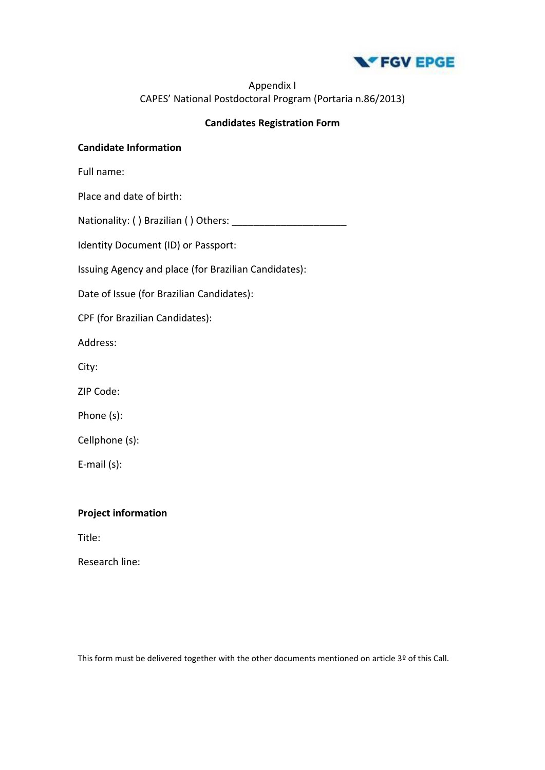

## Appendix I CAPES' National Postdoctoral Program (Portaria n.86/2013)

## **Candidates Registration Form**

#### **Candidate Information**

Full name:

Place and date of birth:

Nationality: ( ) Brazilian ( ) Others: \_\_\_\_\_\_\_\_\_\_\_\_\_\_\_\_\_\_\_\_\_

Identity Document (ID) or Passport:

Issuing Agency and place (for Brazilian Candidates):

Date of Issue (for Brazilian Candidates):

CPF (for Brazilian Candidates):

Address:

City:

ZIP Code:

Phone (s):

Cellphone (s):

E-mail (s):

**Project information**

Title:

Research line:

This form must be delivered together with the other documents mentioned on article 3º of this Call.